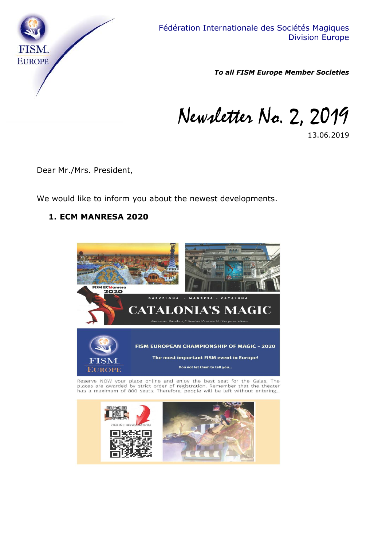

*To all FISM Europe Member Societies*

Newsletter No. 2, 2019

13.06.2019

Dear Mr./Mrs. President,

We would like to inform you about the newest developments.

#### **1. ECM MANRESA 2020**



Reserve NOW your place online and enjoy the best seat for the Galas. The places are awarded by strict order of registration. Remember that the theater has a maximum of 800 seats. Therefore, people will be left without ente

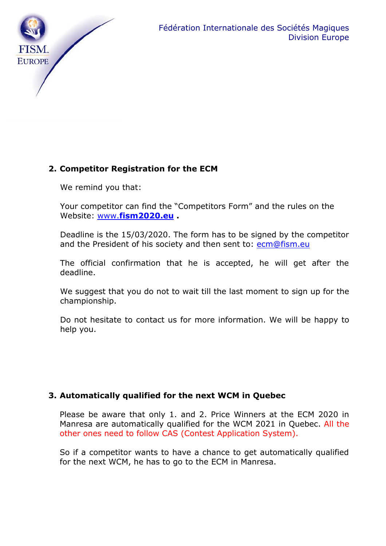

# **2. Competitor Registration for the ECM**

We remind you that:

Your competitor can find the "Competitors Form" and the rules on the Website: www.**[fism2020.eu](http://www.fism2020.eu/) .**

Deadline is the 15/03/2020. The form has to be signed by the competitor and the President of his society and then sent to: [ecm@fism.eu](mailto:ecm@fism.eu)

The official confirmation that he is accepted, he will get after the deadline.

We suggest that you do not to wait till the last moment to sign up for the championship.

Do not hesitate to contact us for more information. We will be happy to help you.

#### **3. Automatically qualified for the next WCM in Quebec**

Please be aware that only 1. and 2. Price Winners at the ECM 2020 in Manresa are automatically qualified for the WCM 2021 in Quebec. All the other ones need to follow CAS (Contest Application System).

So if a competitor wants to have a chance to get automatically qualified for the next WCM, he has to go to the ECM in Manresa.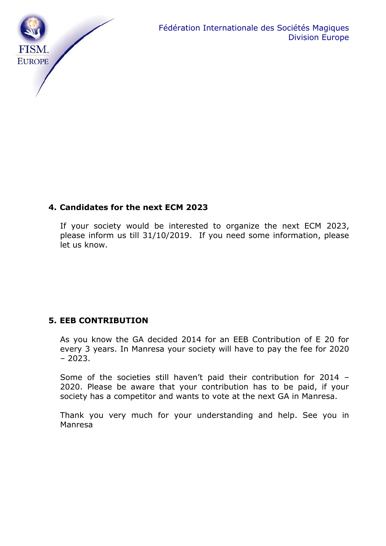

## **4. Candidates for the next ECM 2023**

If your society would be interested to organize the next ECM 2023, please inform us till 31/10/2019. If you need some information, please let us know.

## **5. EEB CONTRIBUTION**

As you know the GA decided 2014 for an EEB Contribution of E 20 for every 3 years. In Manresa your society will have to pay the fee for 2020 – 2023.

Some of the societies still haven't paid their contribution for 2014 – 2020. Please be aware that your contribution has to be paid, if your society has a competitor and wants to vote at the next GA in Manresa.

Thank you very much for your understanding and help. See you in Manresa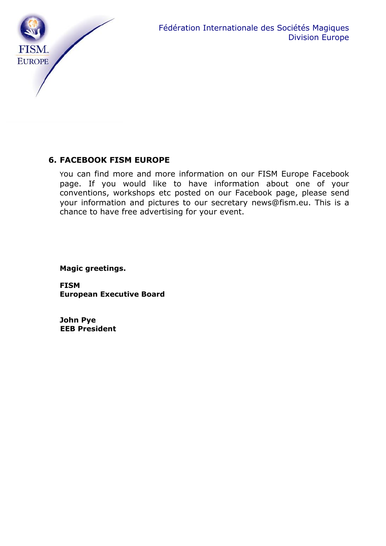

# **6. FACEBOOK FISM EUROPE**

You can find more and more information on our FISM Europe Facebook page. If you would like to have information about one of your conventions, workshops etc posted on our Facebook page, please send your information and pictures to our secretary news@fism.eu. This is a chance to have free advertising for your event.

**Magic greetings.**

**FISM European Executive Board**

**John Pye EEB President**